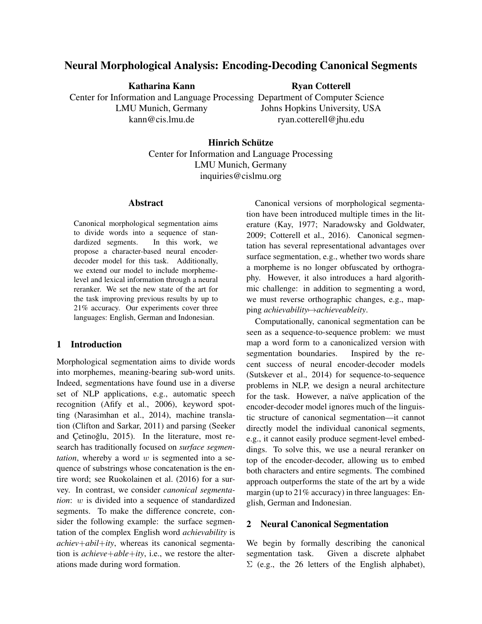# Neural Morphological Analysis: Encoding-Decoding Canonical Segments

Katharina Kann

LMU Munich, Germany kann@cis.lmu.de

# Ryan Cotterell

Center for Information and Language Processing Department of Computer Science Johns Hopkins University, USA ryan.cotterell@jhu.edu

# Hinrich Schütze

Center for Information and Language Processing LMU Munich, Germany inquiries@cislmu.org

## Abstract

Canonical morphological segmentation aims to divide words into a sequence of standardized segments. In this work, we propose a character-based neural encoderdecoder model for this task. Additionally, we extend our model to include morphemelevel and lexical information through a neural reranker. We set the new state of the art for the task improving previous results by up to 21% accuracy. Our experiments cover three languages: English, German and Indonesian.

## 1 Introduction

Morphological segmentation aims to divide words into morphemes, meaning-bearing sub-word units. Indeed, segmentations have found use in a diverse set of NLP applications, e.g., automatic speech recognition (Afify et al., 2006), keyword spotting (Narasimhan et al., 2014), machine translation (Clifton and Sarkar, 2011) and parsing (Seeker and Cetinoğlu, 2015). In the literature, most research has traditionally focused on *surface segmentation*, whereby a word  $w$  is segmented into a sequence of substrings whose concatenation is the entire word; see Ruokolainen et al. (2016) for a survey. In contrast, we consider *canonical segmentation*: w is divided into a sequence of standardized segments. To make the difference concrete, consider the following example: the surface segmentation of the complex English word *achievability* is *achiev*+*abil*+*ity*, whereas its canonical segmentation is *achieve*+*able*+*ity*, i.e., we restore the alterations made during word formation.

Canonical versions of morphological segmentation have been introduced multiple times in the literature (Kay, 1977; Naradowsky and Goldwater, 2009; Cotterell et al., 2016). Canonical segmentation has several representational advantages over surface segmentation, e.g., whether two words share a morpheme is no longer obfuscated by orthography. However, it also introduces a hard algorithmic challenge: in addition to segmenting a word, we must reverse orthographic changes, e.g., mapping *achievability*7→*achieveableity*.

Computationally, canonical segmentation can be seen as a sequence-to-sequence problem: we must map a word form to a canonicalized version with segmentation boundaries. Inspired by the recent success of neural encoder-decoder models (Sutskever et al., 2014) for sequence-to-sequence problems in NLP, we design a neural architecture for the task. However, a naïve application of the encoder-decoder model ignores much of the linguistic structure of canonical segmentation—it cannot directly model the individual canonical segments, e.g., it cannot easily produce segment-level embeddings. To solve this, we use a neural reranker on top of the encoder-decoder, allowing us to embed both characters and entire segments. The combined approach outperforms the state of the art by a wide margin (up to 21% accuracy) in three languages: English, German and Indonesian.

## 2 Neural Canonical Segmentation

We begin by formally describing the canonical segmentation task. Given a discrete alphabet  $\Sigma$  (e.g., the 26 letters of the English alphabet),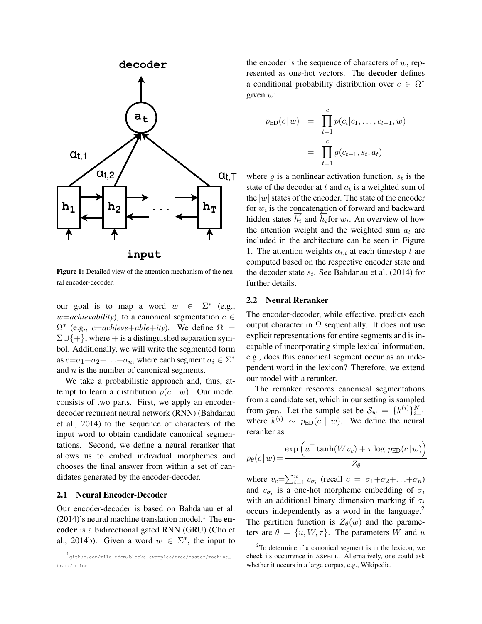

Figure 1: Detailed view of the attention mechanism of the neural encoder-decoder.

our goal is to map a word  $w \in$ ∗ (e.g., *w*=*achievability*), to a canonical segmentation  $c \in$  $\Omega^*$  (e.g., *c*=*achieve*+*able*+*ity*). We define  $\Omega$  =  $\Sigma \cup \{+\}$ , where + is a distinguished separation symbol. Additionally, we will write the segmented form as  $c=\sigma_1+\sigma_2+\ldots+\sigma_n$ , where each segment  $\sigma_i \in \Sigma^*$ and  $n$  is the number of canonical segments.

We take a probabilistic approach and, thus, attempt to learn a distribution  $p(c | w)$ . Our model consists of two parts. First, we apply an encoderdecoder recurrent neural network (RNN) (Bahdanau et al., 2014) to the sequence of characters of the input word to obtain candidate canonical segmentations. Second, we define a neural reranker that allows us to embed individual morphemes and chooses the final answer from within a set of candidates generated by the encoder-decoder.

#### 2.1 Neural Encoder-Decoder

Our encoder-decoder is based on Bahdanau et al.  $(2014)$ 's neural machine translation model.<sup>1</sup> The encoder is a bidirectional gated RNN (GRU) (Cho et al., 2014b). Given a word  $w \in \Sigma^*$ , the input to

the encoder is the sequence of characters of  $w$ , represented as one-hot vectors. The decoder defines a conditional probability distribution over  $c \in \Omega^*$ given  $w$ :

$$
p_{\text{ED}}(c|w) = \prod_{t=1}^{|c|} p(c_t|c_1, \dots, c_{t-1}, w)
$$
  
= 
$$
\prod_{t=1}^{|c|} g(c_{t-1}, s_t, a_t)
$$

where  $g$  is a nonlinear activation function,  $s_t$  is the state of the decoder at t and  $a_t$  is a weighted sum of the  $|w|$  states of the encoder. The state of the encoder for  $w_i$  is the concatenation of forward and backward  $\lim_{n \to \infty} \frac{d^n}{n}$  and  $\lim_{n \to \infty} \frac{d^n}{n}$  and  $\lim_{n \to \infty} \frac{d^n}{n}$  and water and overview of how the attention weight and the weighted sum  $a_t$  are included in the architecture can be seen in Figure 1. The attention weights  $\alpha_{t,i}$  at each timestep t are computed based on the respective encoder state and the decoder state  $s_t$ . See Bahdanau et al. (2014) for further details.

#### 2.2 Neural Reranker

The encoder-decoder, while effective, predicts each output character in  $\Omega$  sequentially. It does not use explicit representations for entire segments and is incapable of incorporating simple lexical information, e.g., does this canonical segment occur as an independent word in the lexicon? Therefore, we extend our model with a reranker.

The reranker rescores canonical segmentations from a candidate set, which in our setting is sampled from  $p_{\text{ED}}$ . Let the sample set be  $\mathcal{S}_w = \{k^{(i)}\}_{i=1}^N$ where  $k^{(i)} \sim p_{\text{ED}}(c \mid w)$ . We define the neural reranker as

$$
p_{\theta}(c|w) = \frac{\exp\left(u^{\top} \tanh(Wv_c) + \tau \log p_{\text{ED}}(c|w)\right)}{Z_{\theta}}
$$

where  $v_c = \sum_{i=1}^n v_{\sigma_i}$  (recall  $c = \sigma_1 + \sigma_2 + \ldots + \sigma_n$ ) and  $v_{\sigma_i}$  is a one-hot morpheme embedding of  $\sigma_i$ with an additional binary dimension marking if  $\sigma_i$ occurs independently as a word in the language.<sup>2</sup> The partition function is  $Z_{\theta}(w)$  and the parameters are  $\theta = \{u, W, \tau\}$ . The parameters W and u

<sup>1</sup> github.com/mila-udem/blocks-examples/tree/master/machine\_ translation

 $2^2$ To determine if a canonical segment is in the lexicon, we check its occurrence in ASPELL. Alternatively, one could ask whether it occurs in a large corpus, e.g., Wikipedia.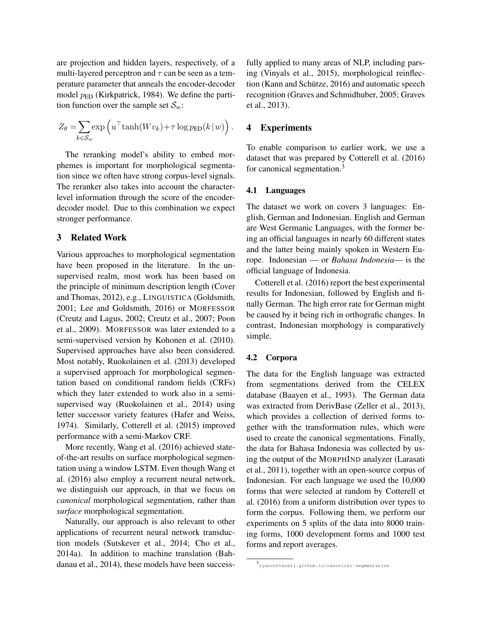are projection and hidden layers, respectively, of a multi-layered perceptron and  $\tau$  can be seen as a temperature parameter that anneals the encoder-decoder model  $p_{ED}$  (Kirkpatrick, 1984). We define the partition function over the sample set  $S_w$ :

$$
Z_{\theta} = \sum_{k \in \mathcal{S}_w} \exp \left( u^{\top} \tanh(Wv_k) + \tau \log p_{\text{ED}}(k \,|\, w) \right).
$$

The reranking model's ability to embed morphemes is important for morphological segmentation since we often have strong corpus-level signals. The reranker also takes into account the characterlevel information through the score of the encoderdecoder model. Due to this combination we expect stronger performance.

#### 3 Related Work

Various approaches to morphological segmentation have been proposed in the literature. In the unsupervised realm, most work has been based on the principle of minimum description length (Cover and Thomas, 2012), e.g., LINGUISTICA (Goldsmith, 2001; Lee and Goldsmith, 2016) or MORFESSOR (Creutz and Lagus, 2002; Creutz et al., 2007; Poon et al., 2009). MORFESSOR was later extended to a semi-supervised version by Kohonen et al. (2010). Supervised approaches have also been considered. Most notably, Ruokolainen et al. (2013) developed a supervised approach for morphological segmentation based on conditional random fields (CRFs) which they later extended to work also in a semisupervised way (Ruokolainen et al., 2014) using letter successor variety features (Hafer and Weiss, 1974). Similarly, Cotterell et al. (2015) improved performance with a semi-Markov CRF.

More recently, Wang et al. (2016) achieved stateof-the-art results on surface morphological segmentation using a window LSTM. Even though Wang et al. (2016) also employ a recurrent neural network, we distinguish our approach, in that we focus on *canonical* morphological segmentation, rather than *surface* morphological segmentation.

Naturally, our approach is also relevant to other applications of recurrent neural network transduction models (Sutskever et al., 2014; Cho et al., 2014a). In addition to machine translation (Bahdanau et al., 2014), these models have been successfully applied to many areas of NLP, including parsing (Vinyals et al., 2015), morphological reinflection (Kann and Schütze, 2016) and automatic speech recognition (Graves and Schmidhuber, 2005; Graves et al., 2013).

## 4 Experiments

To enable comparison to earlier work, we use a dataset that was prepared by Cotterell et al. (2016) for canonical segmentation.<sup>3</sup>

#### 4.1 Languages

The dataset we work on covers 3 languages: English, German and Indonesian. English and German are West Germanic Languages, with the former being an official languages in nearly 60 different states and the latter being mainly spoken in Western Europe. Indonesian — or *Bahasa Indonesia*— is the official language of Indonesia.

Cotterell et al. (2016) report the best experimental results for Indonesian, followed by English and finally German. The high error rate for German might be caused by it being rich in orthografic changes. In contrast, Indonesian morphology is comparatively simple.

#### 4.2 Corpora

The data for the English language was extracted from segmentations derived from the CELEX database (Baayen et al., 1993). The German data was extracted from DerivBase (Zeller et al., 2013), which provides a collection of derived forms together with the transformation rules, which were used to create the canonical segmentations. Finally, the data for Bahasa Indonesia was collected by using the output of the MORPHIND analyzer (Larasati et al., 2011), together with an open-source corpus of Indonesian. For each language we used the 10,000 forms that were selected at random by Cotterell et al. (2016) from a uniform distribution over types to form the corpus. Following them, we perform our experiments on 5 splits of the data into 8000 training forms, 1000 development forms and 1000 test forms and report averages.

<sup>3</sup> ryancotterell.github.io/canonical-segmentation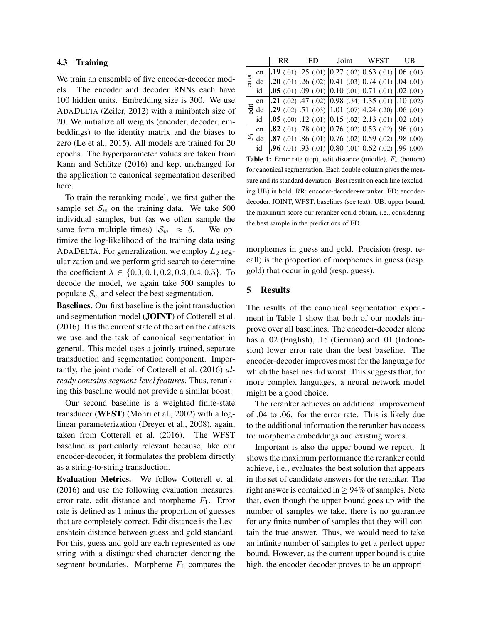#### 4.3 Training

We train an ensemble of five encoder-decoder models. The encoder and decoder RNNs each have 100 hidden units. Embedding size is 300. We use ADADELTA (Zeiler, 2012) with a minibatch size of 20. We initialize all weights (encoder, decoder, embeddings) to the identity matrix and the biases to zero (Le et al., 2015). All models are trained for 20 epochs. The hyperparameter values are taken from Kann and Schütze (2016) and kept unchanged for the application to canonical segmentation described here.

To train the reranking model, we first gather the sample set  $S_w$  on the training data. We take 500 individual samples, but (as we often sample the same form multiple times)  $|\mathcal{S}_w| \approx 5$ . We optimize the log-likelihood of the training data using ADADELTA. For generalization, we employ  $L_2$  regularization and we perform grid search to determine the coefficient  $\lambda \in \{0.0, 0.1, 0.2, 0.3, 0.4, 0.5\}$ . To decode the model, we again take 500 samples to populate  $S_w$  and select the best segmentation.

Baselines. Our first baseline is the joint transduction and segmentation model (JOINT) of Cotterell et al. (2016). It is the current state of the art on the datasets we use and the task of canonical segmentation in general. This model uses a jointly trained, separate transduction and segmentation component. Importantly, the joint model of Cotterell et al. (2016) *already contains segment-level features*. Thus, reranking this baseline would not provide a similar boost.

Our second baseline is a weighted finite-state transducer (WFST) (Mohri et al., 2002) with a loglinear parameterization (Dreyer et al., 2008), again, taken from Cotterell et al. (2016). The WFST baseline is particularly relevant because, like our encoder-decoder, it formulates the problem directly as a string-to-string transduction.

Evaluation Metrics. We follow Cotterell et al. (2016) and use the following evaluation measures: error rate, edit distance and morpheme  $F_1$ . Error rate is defined as 1 minus the proportion of guesses that are completely correct. Edit distance is the Levenshtein distance between guess and gold standard. For this, guess and gold are each represented as one string with a distinguished character denoting the segment boundaries. Morpheme  $F_1$  compares the

|       |             | <b>RR</b> | ED | Joint | <b>WFST</b>                                                                                                    | UB |
|-------|-------------|-----------|----|-------|----------------------------------------------------------------------------------------------------------------|----|
| error | en          |           |    |       | <b>.19</b> (.01) 25 (.01) 0.27 (.02) 0.63 (.01) 0.6 (.01)                                                      |    |
|       | de          |           |    |       | <b>20</b> (.01) $.26$ (.02) $\ 0.41$ (.03) $\ 0.74$ (.01) $\ .04$ (.01)                                        |    |
|       | id          |           |    |       | <b>.05</b> (.01) $\vert .09 \, (.01) \vert \vert 0.10 \, (.01) \vert 0.71 \, (.01) \vert \vert .02 \, (.01)$   |    |
|       | en          |           |    |       | <b>21</b> (.02) $ .47$ (.02) $  0.98 \overline{(.34)} 1.35$ (.01) $  .10$ (.02)                                |    |
|       |             |           |    |       | $\frac{1}{2}$ de   .29 (.02) .51 (.03)  1.01 (.07) 4.24 (.20)  .06 (.01)                                       |    |
|       | id          |           |    |       | $\vert .05 \, (.00) \vert .12 \, (.01) \vert \vert 0.15 \, (.02) \vert 2.13 \, (.01) \vert \vert .02 \, (.01)$ |    |
|       | en          |           |    |       | <b>.82</b> (.01) .78 (.01) 0.76 (.02) 0.53 (.02) 0.96 (.01)                                                    |    |
|       | $E_{\rm d}$ |           |    |       | <b>.87</b> (.01) 86 (.01) 0.76 (.02) 0.59 (.02) 98 (.00)                                                       |    |
|       | id          |           |    |       | <b>.96</b> (.01) [.93 (.01) $\ 0.80$ (.01) $\ 0.62$ (.02) $\ .99$ (.00)                                        |    |

**Table 1:** Error rate (top), edit distance (middle),  $F_1$  (bottom) for canonical segmentation. Each double column gives the measure and its standard deviation. Best result on each line (excluding UB) in bold. RR: encoder-decoder+reranker. ED: encoderdecoder. JOINT, WFST: baselines (see text). UB: upper bound, the maximum score our reranker could obtain, i.e., considering the best sample in the predictions of ED.

morphemes in guess and gold. Precision (resp. recall) is the proportion of morphemes in guess (resp. gold) that occur in gold (resp. guess).

## 5 Results

The results of the canonical segmentation experiment in Table 1 show that both of our models improve over all baselines. The encoder-decoder alone has a .02 (English), .15 (German) and .01 (Indonesion) lower error rate than the best baseline. The encoder-decoder improves most for the language for which the baselines did worst. This suggests that, for more complex languages, a neural network model might be a good choice.

The reranker achieves an additional improvement of .04 to .06. for the error rate. This is likely due to the additional information the reranker has access to: morpheme embeddings and existing words.

Important is also the upper bound we report. It shows the maximum performance the reranker could achieve, i.e., evaluates the best solution that appears in the set of candidate answers for the reranker. The right answer is contained in  $\geq$  94% of samples. Note that, even though the upper bound goes up with the number of samples we take, there is no guarantee for any finite number of samples that they will contain the true answer. Thus, we would need to take an infinite number of samples to get a perfect upper bound. However, as the current upper bound is quite high, the encoder-decoder proves to be an appropri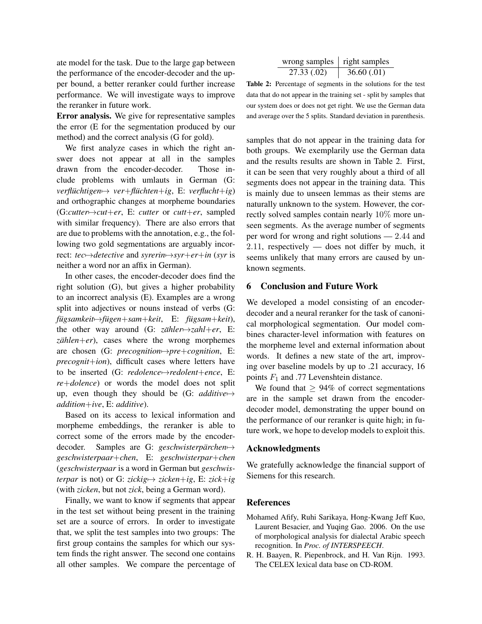ate model for the task. Due to the large gap between the performance of the encoder-decoder and the upper bound, a better reranker could further increase performance. We will investigate ways to improve the reranker in future work.

Error analysis. We give for representative samples the error (E for the segmentation produced by our method) and the correct analysis (G for gold).

We first analyze cases in which the right answer does not appear at all in the samples drawn from the encoder-decoder. Those include problems with umlauts in German (G: *verfluchtigen ¨* 7→ *ver*+*fluchten ¨* +*ig*, E: *verflucht*+*ig*) and orthographic changes at morpheme boundaries (G:*cutter*7→*cut*+*er*, E: *cutter* or *cutt*+*er*, sampled with similar frequency). There are also errors that are due to problems with the annotation, e.g., the following two gold segmentations are arguably incorrect: *tec*7→*detective* and *syrerin*7→*syr*+*er*+*in* (*syr* is neither a word nor an affix in German).

In other cases, the encoder-decoder does find the right solution (G), but gives a higher probability to an incorrect analysis (E). Examples are a wrong split into adjectives or nouns instead of verbs (G: *fugsamkeit ¨* 7→*fugen ¨* +*sam*+*keit*, E: *fugsam ¨* +*keit*), the other way around (G:  $z\ddot{\alpha}hler \rightarrow zahl + er$ , E:  $zählen + er$ , cases where the wrong morphemes are chosen (G: *precognition*7→*pre*+*cognition*, E: *precognit*+*ion*), difficult cases where letters have to be inserted (G: *redolence*7→*redolent*+*ence*, E: *re*+*dolence*) or words the model does not split up, even though they should be (G: *additive*7→ *addition*+*ive*, E: *additive*).

Based on its access to lexical information and morpheme embeddings, the reranker is able to correct some of the errors made by the encoderdecoder. Samples are G: *geschwisterpärchen* → *geschwisterpaar*+*chen*, E: *geschwisterpar*+*chen* (*geschwisterpaar* is a word in German but *geschwisterpar* is not) or G: *zickig* $\mapsto$  *zicken*+*ig*, E: *zick*+*ig* (with *zicken*, but not *zick*, being a German word).

Finally, we want to know if segments that appear in the test set without being present in the training set are a source of errors. In order to investigate that, we split the test samples into two groups: The first group contains the samples for which our system finds the right answer. The second one contains all other samples. We compare the percentage of

| wrong samples $\vert$ right samples |            |
|-------------------------------------|------------|
| 27.33(.02)                          | 36.60(.01) |

Table 2: Percentage of segments in the solutions for the test data that do not appear in the training set - split by samples that our system does or does not get right. We use the German data and average over the 5 splits. Standard deviation in parenthesis.

samples that do not appear in the training data for both groups. We exemplarily use the German data and the results results are shown in Table 2. First, it can be seen that very roughly about a third of all segments does not appear in the training data. This is mainly due to unseen lemmas as their stems are naturally unknown to the system. However, the correctly solved samples contain nearly 10% more unseen segments. As the average number of segments per word for wrong and right solutions — 2.44 and  $2.11$ , respectively — does not differ by much, it seems unlikely that many errors are caused by unknown segments.

## 6 Conclusion and Future Work

We developed a model consisting of an encoderdecoder and a neural reranker for the task of canonical morphological segmentation. Our model combines character-level information with features on the morpheme level and external information about words. It defines a new state of the art, improving over baseline models by up to .21 accuracy, 16 points  $F_1$  and .77 Levenshtein distance.

We found that  $\geq 94\%$  of correct segmentations are in the sample set drawn from the encoderdecoder model, demonstrating the upper bound on the performance of our reranker is quite high; in future work, we hope to develop models to exploit this.

#### Acknowledgments

We gratefully acknowledge the financial support of Siemens for this research.

#### References

- Mohamed Afify, Ruhi Sarikaya, Hong-Kwang Jeff Kuo, Laurent Besacier, and Yuqing Gao. 2006. On the use of morphological analysis for dialectal Arabic speech recognition. In *Proc. of INTERSPEECH*.
- R. H. Baayen, R. Piepenbrock, and H. Van Rijn. 1993. The CELEX lexical data base on CD-ROM.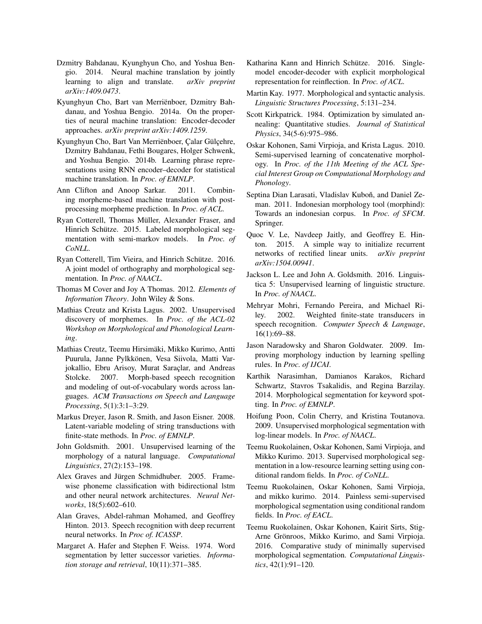- Dzmitry Bahdanau, Kyunghyun Cho, and Yoshua Bengio. 2014. Neural machine translation by jointly learning to align and translate. *arXiv preprint arXiv:1409.0473*.
- Kyunghyun Cho, Bart van Merrienboer, Dzmitry Bah- ¨ danau, and Yoshua Bengio. 2014a. On the properties of neural machine translation: Encoder-decoder approaches. *arXiv preprint arXiv:1409.1259*.
- Kyunghyun Cho, Bart Van Merriënboer, Çalar Gülçehre, Dzmitry Bahdanau, Fethi Bougares, Holger Schwenk, and Yoshua Bengio. 2014b. Learning phrase representations using RNN encoder–decoder for statistical machine translation. In *Proc. of EMNLP*.
- Ann Clifton and Anoop Sarkar. 2011. Combining morpheme-based machine translation with postprocessing morpheme prediction. In *Proc. of ACL*.
- Ryan Cotterell, Thomas Müller, Alexander Fraser, and Hinrich Schütze. 2015. Labeled morphological segmentation with semi-markov models. In *Proc. of CoNLL*.
- Ryan Cotterell, Tim Vieira, and Hinrich Schütze. 2016. A joint model of orthography and morphological segmentation. In *Proc. of NAACL*.
- Thomas M Cover and Joy A Thomas. 2012. *Elements of Information Theory*. John Wiley & Sons.
- Mathias Creutz and Krista Lagus. 2002. Unsupervised discovery of morphemes. In *Proc. of the ACL-02 Workshop on Morphological and Phonological Learning*.
- Mathias Creutz, Teemu Hirsimäki, Mikko Kurimo, Antti Puurula, Janne Pylkkönen, Vesa Siivola, Matti Varjokallio, Ebru Arisoy, Murat Saraçlar, and Andreas Stolcke. 2007. Morph-based speech recognition and modeling of out-of-vocabulary words across languages. *ACM Transactions on Speech and Language Processing*, 5(1):3:1–3:29.
- Markus Dreyer, Jason R. Smith, and Jason Eisner. 2008. Latent-variable modeling of string transductions with finite-state methods. In *Proc. of EMNLP*.
- John Goldsmith. 2001. Unsupervised learning of the morphology of a natural language. *Computational Linguistics*, 27(2):153–198.
- Alex Graves and Jürgen Schmidhuber. 2005. Framewise phoneme classification with bidirectional lstm and other neural network architectures. *Neural Networks*, 18(5):602–610.
- Alan Graves, Abdel-rahman Mohamed, and Geoffrey Hinton. 2013. Speech recognition with deep recurrent neural networks. In *Proc of. ICASSP*.
- Margaret A. Hafer and Stephen F. Weiss. 1974. Word segmentation by letter successor varieties. *Information storage and retrieval*, 10(11):371–385.
- Katharina Kann and Hinrich Schütze. 2016. Singlemodel encoder-decoder with explicit morphological representation for reinflection. In *Proc. of ACL*.
- Martin Kay. 1977. Morphological and syntactic analysis. *Linguistic Structures Processing*, 5:131–234.
- Scott Kirkpatrick. 1984. Optimization by simulated annealing: Quantitative studies. *Journal of Statistical Physics*, 34(5-6):975–986.
- Oskar Kohonen, Sami Virpioja, and Krista Lagus. 2010. Semi-supervised learning of concatenative morphology. In *Proc. of the 11th Meeting of the ACL Special Interest Group on Computational Morphology and Phonology*.
- Septina Dian Larasati, Vladislav Kuboň, and Daniel Zeman. 2011. Indonesian morphology tool (morphind): Towards an indonesian corpus. In *Proc. of SFCM*. Springer.
- Quoc V. Le, Navdeep Jaitly, and Geoffrey E. Hinton. 2015. A simple way to initialize recurrent networks of rectified linear units. *arXiv preprint arXiv:1504.00941*.
- Jackson L. Lee and John A. Goldsmith. 2016. Linguistica 5: Unsupervised learning of linguistic structure. In *Proc. of NAACL*.
- Mehryar Mohri, Fernando Pereira, and Michael Riley. 2002. Weighted finite-state transducers in speech recognition. *Computer Speech & Language*, 16(1):69–88.
- Jason Naradowsky and Sharon Goldwater. 2009. Improving morphology induction by learning spelling rules. In *Proc. of IJCAI*.
- Karthik Narasimhan, Damianos Karakos, Richard Schwartz, Stavros Tsakalidis, and Regina Barzilay. 2014. Morphological segmentation for keyword spotting. In *Proc. of EMNLP*.
- Hoifung Poon, Colin Cherry, and Kristina Toutanova. 2009. Unsupervised morphological segmentation with log-linear models. In *Proc. of NAACL*.
- Teemu Ruokolainen, Oskar Kohonen, Sami Virpioja, and Mikko Kurimo. 2013. Supervised morphological segmentation in a low-resource learning setting using conditional random fields. In *Proc. of CoNLL*.
- Teemu Ruokolainen, Oskar Kohonen, Sami Virpioja, and mikko kurimo. 2014. Painless semi-supervised morphological segmentation using conditional random fields. In *Proc. of EACL*.
- Teemu Ruokolainen, Oskar Kohonen, Kairit Sirts, Stig-Arne Grönroos, Mikko Kurimo, and Sami Virpioja. 2016. Comparative study of minimally supervised morphological segmentation. *Computational Linguistics*, 42(1):91–120.